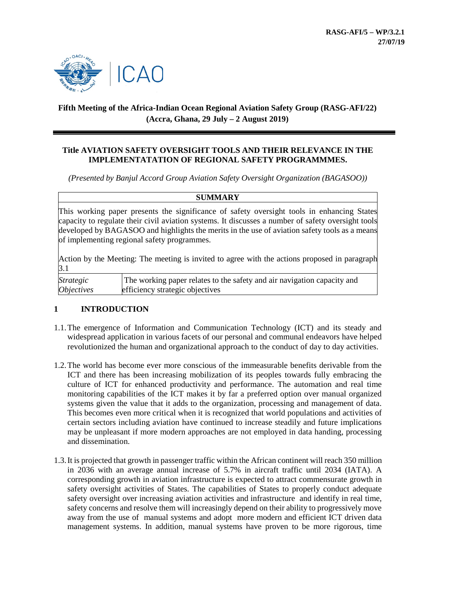

# **Fifth Meeting of the Africa-Indian Ocean Regional Aviation Safety Group (RASG-AFI/22) (Accra, Ghana, 29 July – 2 August 2019)**

### **Title AVIATION SAFETY OVERSIGHT TOOLS AND THEIR RELEVANCE IN THE IMPLEMENTATATION OF REGIONAL SAFETY PROGRAMMMES.**

*(Presented by Banjul Accord Group Aviation Safety Oversight Organization (BAGASOO))*

| <b>SUMMARY</b>                                                                                       |                                                                                                                                                                                                                                                                                                                                                  |
|------------------------------------------------------------------------------------------------------|--------------------------------------------------------------------------------------------------------------------------------------------------------------------------------------------------------------------------------------------------------------------------------------------------------------------------------------------------|
|                                                                                                      | This working paper presents the significance of safety oversight tools in enhancing States<br>capacity to regulate their civil aviation systems. It discusses a number of safety oversight tools<br>developed by BAGASOO and highlights the merits in the use of aviation safety tools as a means<br>of implementing regional safety programmes. |
| Action by the Meeting: The meeting is invited to agree with the actions proposed in paragraph<br>3.1 |                                                                                                                                                                                                                                                                                                                                                  |
| <i>Strategic</i><br><i><b>Objectives</b></i>                                                         | The working paper relates to the safety and air navigation capacity and<br>efficiency strategic objectives                                                                                                                                                                                                                                       |

## **1 INTRODUCTION**

- 1.1.The emergence of Information and Communication Technology (ICT) and its steady and widespread application in various facets of our personal and communal endeavors have helped revolutionized the human and organizational approach to the conduct of day to day activities.
- 1.2.The world has become ever more conscious of the immeasurable benefits derivable from the ICT and there has been increasing mobilization of its peoples towards fully embracing the culture of ICT for enhanced productivity and performance. The automation and real time monitoring capabilities of the ICT makes it by far a preferred option over manual organized systems given the value that it adds to the organization, processing and management of data. This becomes even more critical when it is recognized that world populations and activities of certain sectors including aviation have continued to increase steadily and future implications may be unpleasant if more modern approaches are not employed in data handing, processing and dissemination.
- 1.3.It is projected that growth in passenger traffic within the African continent will reach 350 million in 2036 with an average annual increase of 5.7% in aircraft traffic until 2034 (IATA). A corresponding growth in aviation infrastructure is expected to attract commensurate growth in safety oversight activities of States. The capabilities of States to properly conduct adequate safety oversight over increasing aviation activities and infrastructure and identify in real time, safety concerns and resolve them will increasingly depend on their ability to progressively move away from the use of manual systems and adopt more modern and efficient ICT driven data management systems. In addition, manual systems have proven to be more rigorous, time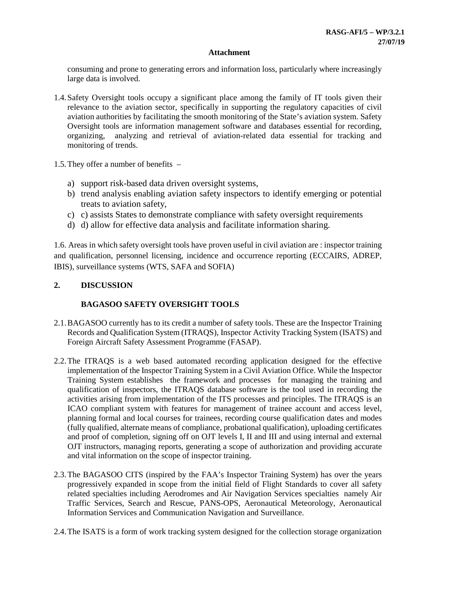consuming and prone to generating errors and information loss, particularly where increasingly large data is involved.

- 1.4.Safety Oversight tools occupy a significant place among the family of IT tools given their relevance to the aviation sector, specifically in supporting the regulatory capacities of civil aviation authorities by facilitating the smooth monitoring of the State's aviation system. Safety Oversight tools are information management software and databases essential for recording, organizing, analyzing and retrieval of aviation-related data essential for tracking and monitoring of trends.
- 1.5.They offer a number of benefits
	- a) support risk-based data driven oversight systems,
	- b) trend analysis enabling aviation safety inspectors to identify emerging or potential treats to aviation safety,
	- c) c) assists States to demonstrate compliance with safety oversight requirements
	- d) d) allow for effective data analysis and facilitate information sharing.

1.6. Areas in which safety oversight tools have proven useful in civil aviation are : inspector training and qualification, personnel licensing, incidence and occurrence reporting (ECCAIRS, ADREP, IBIS), surveillance systems (WTS, SAFA and SOFIA)

### **2. DISCUSSION**

### **BAGASOO SAFETY OVERSIGHT TOOLS**

- 2.1.BAGASOO currently has to its credit a number of safety tools. These are the Inspector Training Records and Qualification System (ITRAQS), Inspector Activity Tracking System (ISATS) and Foreign Aircraft Safety Assessment Programme (FASAP).
- 2.2.The ITRAQS is a web based automated recording application designed for the effective implementation of the Inspector Training System in a Civil Aviation Office. While the Inspector Training System establishes the framework and processes for managing the training and qualification of inspectors, the ITRAQS database software is the tool used in recording the activities arising from implementation of the ITS processes and principles. The ITRAQS is an ICAO compliant system with features for management of trainee account and access level, planning formal and local courses for trainees, recording course qualification dates and modes (fully qualified, alternate means of compliance, probational qualification), uploading certificates and proof of completion, signing off on OJT levels I, II and III and using internal and external OJT instructors, managing reports, generating a scope of authorization and providing accurate and vital information on the scope of inspector training.
- 2.3.The BAGASOO CITS (inspired by the FAA's Inspector Training System) has over the years progressively expanded in scope from the initial field of Flight Standards to cover all safety related specialties including Aerodromes and Air Navigation Services specialties namely Air Traffic Services, Search and Rescue, PANS-OPS, Aeronautical Meteorology, Aeronautical Information Services and Communication Navigation and Surveillance.
- 2.4.The ISATS is a form of work tracking system designed for the collection storage organization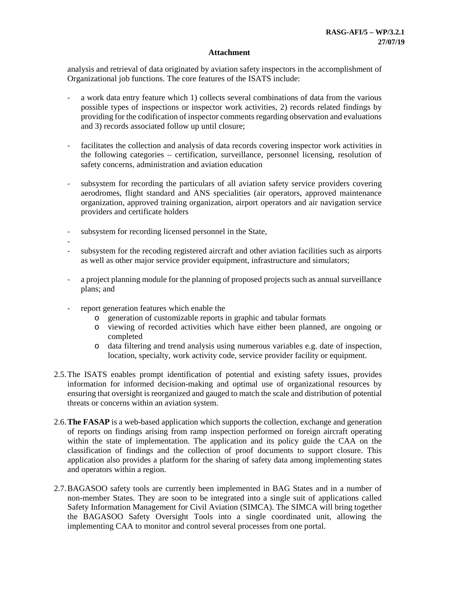analysis and retrieval of data originated by aviation safety inspectors in the accomplishment of Organizational job functions. The core features of the ISATS include:

- a work data entry feature which 1) collects several combinations of data from the various possible types of inspections or inspector work activities, 2) records related findings by providing for the codification of inspector comments regarding observation and evaluations and 3) records associated follow up until closure;
- facilitates the collection and analysis of data records covering inspector work activities in the following categories – certification, surveillance, personnel licensing, resolution of safety concerns, administration and aviation education
- subsystem for recording the particulars of all aviation safety service providers covering aerodromes, flight standard and ANS specialities (air operators, approved maintenance organization, approved training organization, airport operators and air navigation service providers and certificate holders
- subsystem for recording licensed personnel in the State,
- -
- subsystem for the recoding registered aircraft and other aviation facilities such as airports as well as other major service provider equipment, infrastructure and simulators;
- a project planning module for the planning of proposed projects such as annual surveillance plans; and
- report generation features which enable the
	- o generation of customizable reports in graphic and tabular formats
	- o viewing of recorded activities which have either been planned, are ongoing or completed
	- o data filtering and trend analysis using numerous variables e.g. date of inspection, location, specialty, work activity code, service provider facility or equipment.
- 2.5.The ISATS enables prompt identification of potential and existing safety issues, provides information for informed decision-making and optimal use of organizational resources by ensuring that oversight is reorganized and gauged to match the scale and distribution of potential threats or concerns within an aviation system.
- 2.6.**The FASAP** is a web-based application which supports the collection, exchange and generation of reports on findings arising from ramp inspection performed on foreign aircraft operating within the state of implementation. The application and its policy guide the CAA on the classification of findings and the collection of proof documents to support closure. This application also provides a platform for the sharing of safety data among implementing states and operators within a region.
- 2.7.BAGASOO safety tools are currently been implemented in BAG States and in a number of non-member States. They are soon to be integrated into a single suit of applications called Safety Information Management for Civil Aviation (SIMCA). The SIMCA will bring together the BAGASOO Safety Oversight Tools into a single coordinated unit, allowing the implementing CAA to monitor and control several processes from one portal.